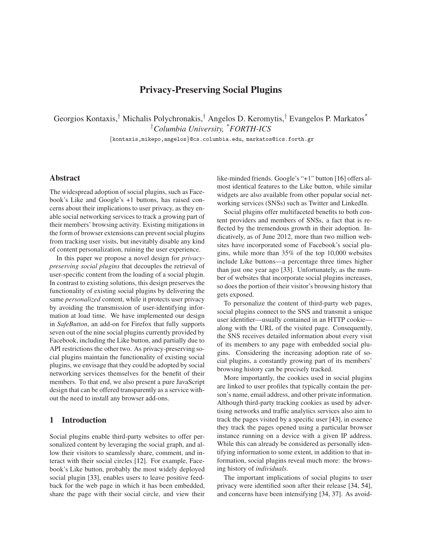# **Privacy-Preserving Social Plugins**

Georgios Kontaxis,† Michalis Polychronakis,† Angelos D. Keromytis,† Evangelos P. Markatos\* †*Columbia University, \*FORTH-ICS*

{kontaxis,mikepo,angelos}@cs.columbia.edu, markatos@ics.forth.gr

## **Abstract**

The widespread adoption of social plugins, such as Facebook's Like and Google's +1 buttons, has raised concerns about their implications to user privacy, as they enable social networking services to track a growing part of their members' browsing activity. Existing mitigations in the form of browser extensions can prevent social plugins from tracking user visits, but inevitably disable any kind of content personalization, ruining the user experience.

In this paper we propose a novel design for *privacypreserving social plugins* that decouples the retrieval of user-specific content from the loading of a social plugin. In contrast to existing solutions, this design preserves the functionality of existing social plugins by delivering the same *personalized* content, while it protects user privacy by avoiding the transmission of user-identifying information at load time. We have implemented our design in *SafeButton*, an add-on for Firefox that fully supports seven out of the nine social plugins currently provided by Facebook, including the Like button, and partially due to API restrictions the other two. As privacy-preserving social plugins maintain the functionality of existing social plugins, we envisage that they could be adopted by social networking services themselves for the benefit of their members. To that end, we also present a pure JavaScript design that can be offered transparently as a service without the need to install any browser add-ons.

#### **1 Introduction**

Social plugins enable third-party websites to offer personalized content by leveraging the social graph, and allow their visitors to seamlessly share, comment, and interact with their social circles [\[12\]](#page-14-0). For example, Facebook's Like button, probably the most widely deployed social plugin [\[33\]](#page-15-0), enables users to leave positive feedback for the web page in which it has been embedded, share the page with their social circle, and view their like-minded friends. Google's "+1" button [\[16\]](#page-14-1) offers almost identical features to the Like button, while similar widgets are also available from other popular social networking services (SNSs) such as Twitter and LinkedIn.

Social plugins offer multifaceted benefits to both content providers and members of SNSs, a fact that is reflected by the tremendous growth in their adoption. Indicatively, as of June 2012, more than two million websites have incorporated some of Facebook's social plugins, while more than 35% of the top 10,000 websites include Like buttons—a percentage three times higher than just one year ago [\[33\]](#page-15-0). Unfortunately, as the number of websites that incorporate social plugins increases, so does the portion of their visitor's browsing history that gets exposed.

To personalize the content of third-party web pages, social plugins connect to the SNS and transmit a unique user identifier—usually contained in an HTTP cookie along with the URL of the visited page. Consequently, the SNS receives detailed information about every visit of its members to any page with embedded social plugins. Considering the increasing adoption rate of social plugins, a constantly growing part of its members' browsing history can be precisely tracked.

More importantly, the cookies used in social plugins are linked to user profiles that typically contain the person's name, email address, and other private information. Although third-party tracking cookies as used by advertising networks and traffic analytics services also aim to track the pages visited by a specific user [\[43\]](#page-15-1), in essence they track the pages opened using a particular browser instance running on a device with a given IP address. While this can already be considered as personally identifying information to some extent, in addition to that information, social plugins reveal much more: the browsing history of *individuals*.

The important implications of social plugins to user privacy were identified soon after their release [\[34,](#page-15-2) [54\]](#page-15-3), and concerns have been intensifying [\[34,](#page-15-2) [37\]](#page-15-4). As avoid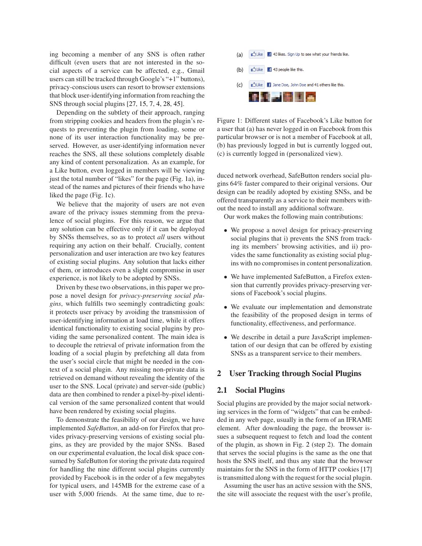ing becoming a member of any SNS is often rather difficult (even users that are not interested in the social aspects of a service can be affected, e.g., Gmail users can still be tracked through Google's "+1" buttons), privacy-conscious users can resort to browser extensions that block user-identifying information from reaching the SNS through social plugins [\[27,](#page-15-5) [15,](#page-14-2) [7,](#page-14-3) [4,](#page-14-4) [28,](#page-15-6) [45\]](#page-15-7).

Depending on the subtlety of their approach, ranging from stripping cookies and headers from the plugin's requests to preventing the plugin from loading, some or none of its user interaction functionality may be preserved. However, as user-identifying information never reaches the SNS, all these solutions completely disable any kind of content personalization. As an example, for a Like button, even logged in members will be viewing just the total number of "likes" for the page (Fig. [1a](#page-1-0)), instead of the names and pictures of their friends who have liked the page (Fig. [1c](#page-1-0)).

We believe that the majority of users are not even aware of the privacy issues stemming from the prevalence of social plugins. For this reason, we argue that any solution can be effective only if it can be deployed by SNSs themselves, so as to protect *all* users without requiring any action on their behalf. Crucially, content personalization and user interaction are two key features of existing social plugins. Any solution that lacks either of them, or introduces even a slight compromise in user experience, is not likely to be adopted by SNSs.

Driven by these two observations, in this paper we propose a novel design for *privacy-preserving social plugins*, which fulfills two seemingly contradicting goals: it protects user privacy by avoiding the transmission of user-identifying information at load time, while it offers identical functionality to existing social plugins by providing the same personalized content. The main idea is to decouple the retrieval of private information from the loading of a social plugin by prefetching all data from the user's social circle that might be needed in the context of a social plugin. Any missing non-private data is retrieved on demand without revealing the identity of the user to the SNS. Local (private) and server-side (public) data are then combined to render a pixel-by-pixel identical version of the same personalized content that would have been rendered by existing social plugins.

To demonstrate the feasibility of our design, we have implemented *SafeButton*, an add-on for Firefox that provides privacy-preserving versions of existing social plugins, as they are provided by the major SNSs. Based on our experimental evaluation, the local disk space consumed by SafeButton for storing the private data required for handling the nine different social plugins currently provided by Facebook is in the order of a few megabytes for typical users, and 145MB for the extreme case of a user with 5,000 friends. At the same time, due to re-



<span id="page-1-0"></span>Figure 1: Different states of Facebook's Like button for a user that (a) has never logged in on Facebook from this particular browser or is not a member of Facebook at all, (b) has previously logged in but is currently logged out, (c) is currently logged in (personalized view).

duced network overhead, SafeButton renders social plugins 64% faster compared to their original versions. Our design can be readily adopted by existing SNSs, and be offered transparently as a service to their members without the need to install any additional software.

Our work makes the following main contributions:

- We propose a novel design for privacy-preserving social plugins that i) prevents the SNS from tracking its members' browsing activities, and ii) provides the same functionality as existing social plugins with no compromises in content personalization.
- We have implemented SafeButton, a Firefox extension that currently provides privacy-preserving versions of Facebook's social plugins.
- We evaluate our implementation and demonstrate the feasibility of the proposed design in terms of functionality, effectiveness, and performance.
- We describe in detail a pure JavaScript implementation of our design that can be offered by existing SNSs as a transparent service to their members.

## **2 User Tracking through Social Plugins**

## **2.1 Social Plugins**

Social plugins are provided by the major social networking services in the form of "widgets" that can be embedded in any web page, usually in the form of an IFRAME element. After downloading the page, the browser issues a subsequent request to fetch and load the content of the plugin, as shown in Fig. [2](#page-2-0) (step 2). The domain that serves the social plugins is the same as the one that hosts the SNS itself, and thus any state that the browser maintains for the SNS in the form of HTTP cookies [\[17\]](#page-14-5) is transmitted along with the request for the social plugin.

Assuming the user has an active session with the SNS, the site will associate the request with the user's profile,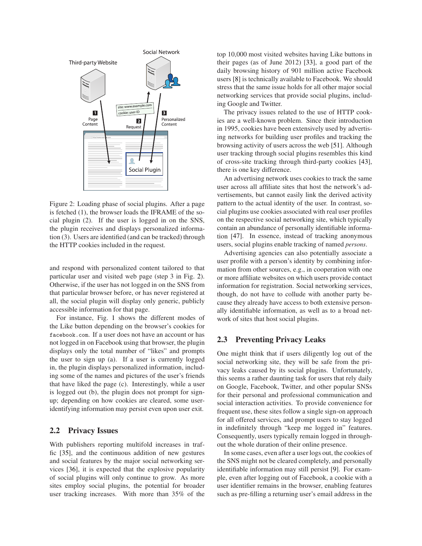

<span id="page-2-0"></span>Figure 2: Loading phase of social plugins. After a page is fetched (1), the browser loads the IFRAME of the social plugin (2). If the user is logged in on the SNS, the plugin receives and displays personalized information (3). Users are identified (and can be tracked) through the HTTP cookies included in the request.

and respond with personalized content tailored to that particular user and visited web page (step 3 in Fig. [2\)](#page-2-0). Otherwise, if the user has not logged in on the SNS from that particular browser before, or has never registered at all, the social plugin will display only generic, publicly accessible information for that page.

For instance, Fig. [1](#page-1-0) shows the different modes of the Like button depending on the browser's cookies for facebook.com. If a user does not have an account or has not logged in on Facebook using that browser, the plugin displays only the total number of "likes" and prompts the user to sign up (a). If a user is currently logged in, the plugin displays personalized information, including some of the names and pictures of the user's friends that have liked the page (c). Interestingly, while a user is logged out (b), the plugin does not prompt for signup; depending on how cookies are cleared, some useridentifying information may persist even upon user exit.

## **2.2 Privacy Issues**

With publishers reporting multifold increases in traffic [\[35\]](#page-15-8), and the continuous addition of new gestures and social features by the major social networking services [\[36\]](#page-15-9), it is expected that the explosive popularity of social plugins will only continue to grow. As more sites employ social plugins, the potential for broader user tracking increases. With more than 35% of the top 10,000 most visited websites having Like buttons in their pages (as of June 2012) [\[33\]](#page-15-0), a good part of the daily browsing history of 901 million active Facebook users [\[8\]](#page-14-6) is technically available to Facebook. We should stress that the same issue holds for all other major social networking services that provide social plugins, including Google and Twitter.

The privacy issues related to the use of HTTP cookies are a well-known problem. Since their introduction in 1995, cookies have been extensively used by advertising networks for building user profiles and tracking the browsing activity of users across the web [\[51\]](#page-15-10). Although user tracking through social plugins resembles this kind of cross-site tracking through third-party cookies [\[43\]](#page-15-1), there is one key difference.

An advertising network uses cookies to track the same user across all affiliate sites that host the network's advertisements, but cannot easily link the derived activity pattern to the actual identity of the user. In contrast, social plugins use cookies associated with real user profiles on the respective social networking site, which typically contain an abundance of personally identifiable information [\[47\]](#page-15-11). In essence, instead of tracking anonymous users, social plugins enable tracking of named *persons*.

Advertising agencies can also potentially associate a user profile with a person's identity by combining information from other sources, e.g., in cooperation with one or more affiliate websites on which users provide contact information for registration. Social networking services, though, do not have to collude with another party because they already have access to both extensive personally identifiable information, as well as to a broad network of sites that host social plugins.

## **2.3 Preventing Privacy Leaks**

One might think that if users diligently log out of the social networking site, they will be safe from the privacy leaks caused by its social plugins. Unfortunately, this seems a rather daunting task for users that rely daily on Google, Facebook, Twitter, and other popular SNSs for their personal and professional communication and social interaction activities. To provide convenience for frequent use, these sites follow a single sign-on approach for all offered services, and prompt users to stay logged in indefinitely through "keep me logged in" features. Consequently, users typically remain logged in throughout the whole duration of their online presence.

In some cases, even after a user logs out, the cookies of the SNS might not be cleared completely, and personally identifiable information may still persist [\[9\]](#page-14-7). For example, even after logging out of Facebook, a cookie with a user identifier remains in the browser, enabling features such as pre-filling a returning user's email address in the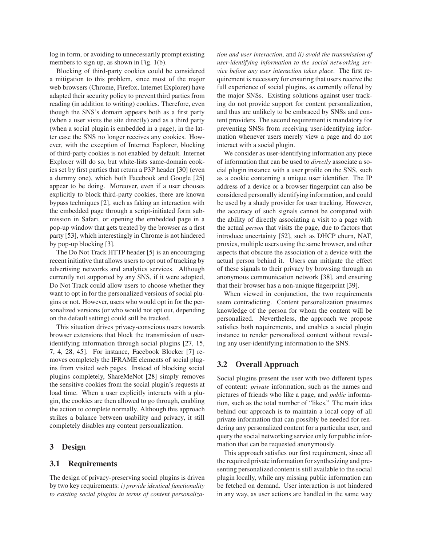log in form, or avoiding to unnecessarily prompt existing members to sign up, as shown in Fig. [1\(](#page-1-0)b).

Blocking of third-party cookies could be considered a mitigation to this problem, since most of the major web browsers (Chrome, Firefox, Internet Explorer) have adapted their security policy to prevent third parties from reading (in addition to writing) cookies. Therefore, even though the SNS's domain appears both as a first party (when a user visits the site directly) and as a third party (when a social plugin is embedded in a page), in the latter case the SNS no longer receives any cookies. However, with the exception of Internet Explorer, blocking of third-party cookies is not enabled by default. Internet Explorer will do so, but white-lists same-domain cookies set by first parties that return a P3P header [\[30\]](#page-15-12) (even a dummy one), which both Facebook and Google [\[25\]](#page-14-8) appear to be doing. Moreover, even if a user chooses explicitly to block third-party cookies, there are known bypass techniques [\[2\]](#page-14-9), such as faking an interaction with the embedded page through a script-initiated form submission in Safari, or opening the embedded page in a pop-up window that gets treated by the browser as a first party [\[53\]](#page-15-13), which interestingly in Chrome is not hindered by pop-up blocking [\[3\]](#page-14-10).

The Do Not Track HTTP header [\[5\]](#page-14-11) is an encouraging recent initiative that allows users to opt out of tracking by advertising networks and analytics services. Although currently not supported by any SNS, if it were adopted, Do Not Track could allow users to choose whether they want to opt in for the personalized versions of social plugins or not. However, users who would opt in for the personalized versions (or who would not opt out, depending on the default setting) could still be tracked.

This situation drives privacy-conscious users towards browser extensions that block the transmission of useridentifying information through social plugins [\[27,](#page-15-5) [15,](#page-14-2) [7,](#page-14-3) [4,](#page-14-4) [28,](#page-15-6) [45\]](#page-15-7). For instance, Facebook Blocker [\[7\]](#page-14-3) removes completely the IFRAME elements of social plugins from visited web pages. Instead of blocking social plugins completely, ShareMeNot [\[28\]](#page-15-6) simply removes the sensitive cookies from the social plugin's requests at load time. When a user explicitly interacts with a plugin, the cookies are then allowed to go through, enabling the action to complete normally. Although this approach strikes a balance between usability and privacy, it still completely disables any content personalization.

## <span id="page-3-0"></span>**3 Design**

#### **3.1 Requirements**

The design of privacy-preserving social plugins is driven by two key requirements: *i) provide identical functionality to existing social plugins in terms of content personaliza-* *tion and user interaction*, and *ii) avoid the transmission of user-identifying information to the social networking service before any user interaction takes place*. The first requirement is necessary for ensuring that users receive the full experience of social plugins, as currently offered by the major SNSs. Existing solutions against user tracking do not provide support for content personalization, and thus are unlikely to be embraced by SNSs and content providers. The second requirement is mandatory for preventing SNSs from receiving user-identifying information whenever users merely view a page and do not interact with a social plugin.

We consider as user-identifying information any piece of information that can be used to *directly* associate a social plugin instance with a user profile on the SNS, such as a cookie containing a unique user identifier. The IP address of a device or a browser fingerprint can also be considered personally identifying information, and could be used by a shady provider for user tracking. However, the accuracy of such signals cannot be compared with the ability of directly associating a visit to a page with the actual *person* that visits the page, due to factors that introduce uncertainty [\[52\]](#page-15-14), such as DHCP churn, NAT, proxies, multiple users using the same browser, and other aspects that obscure the association of a device with the actual person behind it. Users can mitigate the effect of these signals to their privacy by browsing through an anonymous communication network [\[38\]](#page-15-15), and ensuring that their browser has a non-unique fingerprint [\[39\]](#page-15-16).

When viewed in conjunction, the two requirements seem contradicting. Content personalization presumes knowledge of the person for whom the content will be personalized. Nevertheless, the approach we propose satisfies both requirements, and enables a social plugin instance to render personalized content without revealing any user-identifying information to the SNS.

#### **3.2 Overall Approach**

Social plugins present the user with two different types of content: *private* information, such as the names and pictures of friends who like a page, and *public* information, such as the total number of "likes." The main idea behind our approach is to maintain a local copy of all private information that can possibly be needed for rendering any personalized content for a particular user, and query the social networking service only for public information that can be requested anonymously.

This approach satisfies our first requirement, since all the required private information for synthesizing and presenting personalized content is still available to the social plugin locally, while any missing public information can be fetched on demand. User interaction is not hindered in any way, as user actions are handled in the same way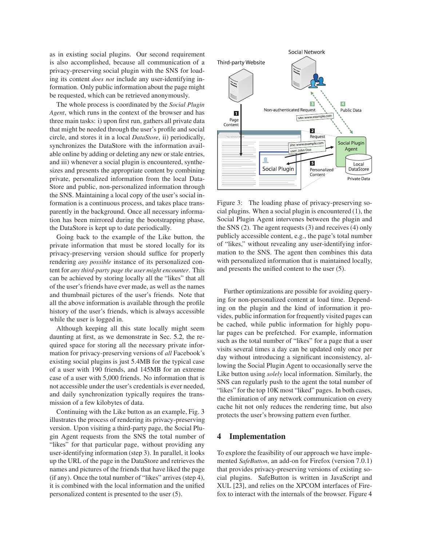as in existing social plugins. Our second requirement is also accomplished, because all communication of a privacy-preserving social plugin with the SNS for loading its content *does not* include any user-identifying information. Only public information about the page might be requested, which can be retrieved anonymously.

The whole process is coordinated by the *Social Plugin Agent*, which runs in the context of the browser and has three main tasks: i) upon first run, gathers all private data that might be needed through the user's profile and social circle, and stores it in a local *DataStore*, ii) periodically, synchronizes the DataStore with the information available online by adding or deleting any new or stale entries, and iii) whenever a social plugin is encountered, synthesizes and presents the appropriate content by combining private, personalized information from the local Data-Store and public, non-personalized information through the SNS. Maintaining a local copy of the user's social information is a continuous process, and takes place transparently in the background. Once all necessary information has been mirrored during the bootstrapping phase, the DataStore is kept up to date periodically.

Going back to the example of the Like button, the private information that must be stored locally for its privacy-preserving version should suffice for properly rendering *any possible* instance of its personalized content for *any third-party page the user might encounter*. This can be achieved by storing locally all the "likes" that all of the user's friends have ever made, as well as the names and thumbnail pictures of the user's friends. Note that all the above information is available through the profile history of the user's friends, which is always accessible while the user is logged in.

Although keeping all this state locally might seem daunting at first, as we demonstrate in Sec. [5.2,](#page-7-0) the required space for storing all the necessary private information for privacy-preserving versions of *all* Facebook's existing social plugins is just 5.4MB for the typical case of a user with 190 friends, and 145MB for an extreme case of a user with 5,000 friends. No information that is not accessible under the user's credentials is ever needed, and daily synchronization typically requires the transmission of a few kilobytes of data.

Continuing with the Like button as an example, Fig. [3](#page-4-0) illustrates the process of rendering its privacy-preserving version. Upon visiting a third-party page, the Social Plugin Agent requests from the SNS the total number of "likes" for that particular page, without providing any user-identifying information (step 3). In parallel, it looks up the URL of the page in the DataStore and retrieves the names and pictures of the friends that have liked the page (if any). Once the total number of "likes" arrives (step 4), it is combined with the local information and the unified personalized content is presented to the user (5).



<span id="page-4-0"></span>Figure 3: The loading phase of privacy-preserving social plugins. When a social plugin is encountered (1), the Social Plugin Agent intervenes between the plugin and the SNS (2). The agent requests (3) and receives (4) only publicly accessible content, e.g., the page's total number of "likes," without revealing any user-identifying information to the SNS. The agent then combines this data with personalized information that is maintained locally, and presents the unified content to the user (5).

Further optimizations are possible for avoiding querying for non-personalized content at load time. Depending on the plugin and the kind of information it provides, public information for frequently visited pages can be cached, while public information for highly popular pages can be prefetched. For example, information such as the total number of "likes" for a page that a user visits several times a day can be updated only once per day without introducing a significant inconsistency, allowing the Social Plugin Agent to occasionally serve the Like button using *solely* local information. Similarly, the SNS can regularly push to the agent the total number of "likes" for the top 10K most "liked" pages. In both cases, the elimination of any network communication on every cache hit not only reduces the rendering time, but also protects the user's browsing pattern even further.

## **4 Implementation**

To explore the feasibility of our approach we have implemented *SafeButton*, an add-on for Firefox (version 7.0.1) that provides privacy-preserving versions of existing social plugins. SafeButton is written in JavaScript and XUL [\[23\]](#page-14-12), and relies on the XPCOM interfaces of Firefox to interact with the internals of the browser. Figure [4](#page-5-0)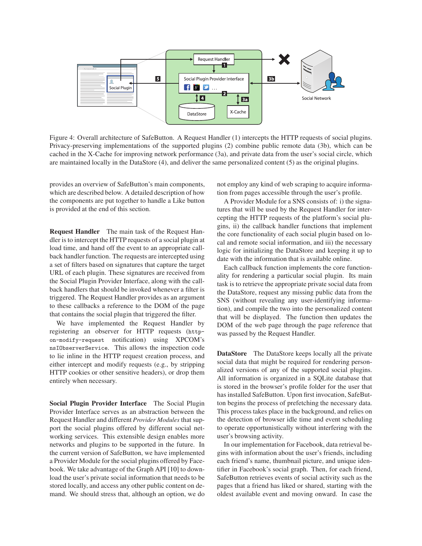

<span id="page-5-0"></span>Figure 4: Overall architecture of SafeButton. A Request Handler (1) intercepts the HTTP requests of social plugins. Privacy-preserving implementations of the supported plugins (2) combine public remote data (3b), which can be cached in the X-Cache for improving network performance (3a), and private data from the user's social circle, which are maintained locally in the DataStore (4), and deliver the same personalized content (5) as the original plugins.

provides an overview of SafeButton's main components, which are described below. A detailed description of how the components are put together to handle a Like button is provided at the end of this section.

**Request Handler** The main task of the Request Handler is to intercept the HTTP requests of a social plugin at load time, and hand off the event to an appropriate callback handler function. The requests are intercepted using a set of filters based on signatures that capture the target URL of each plugin. These signatures are received from the Social Plugin Provider Interface, along with the callback handlers that should be invoked whenever a filter is triggered. The Request Handler provides as an argument to these callbacks a reference to the DOM of the page that contains the social plugin that triggered the filter.

We have implemented the Request Handler by registering an observer for HTTP requests (httpon-modify-request notification) using XPCOM's nsIObserverService. This allows the inspection code to lie inline in the HTTP request creation process, and either intercept and modify requests (e.g., by stripping HTTP cookies or other sensitive headers), or drop them entirely when necessary.

**Social Plugin Provider Interface** The Social Plugin Provider Interface serves as an abstraction between the Request Handler and different *Provider Modules* that support the social plugins offered by different social networking services. This extensible design enables more networks and plugins to be supported in the future. In the current version of SafeButton, we have implemented a Provider Module for the social plugins offered by Facebook. We take advantage of the Graph API [\[10\]](#page-14-13) to download the user's private social information that needs to be stored locally, and access any other public content on demand. We should stress that, although an option, we do not employ any kind of web scraping to acquire information from pages accessible through the user's profile.

A Provider Module for a SNS consists of: i) the signatures that will be used by the Request Handler for intercepting the HTTP requests of the platform's social plugins, ii) the callback handler functions that implement the core functionality of each social plugin based on local and remote social information, and iii) the necessary logic for initializing the DataStore and keeping it up to date with the information that is available online.

Each callback function implements the core functionality for rendering a particular social plugin. Its main task is to retrieve the appropriate private social data from the DataStore, request any missing public data from the SNS (without revealing any user-identifying information), and compile the two into the personalized content that will be displayed. The function then updates the DOM of the web page through the page reference that was passed by the Request Handler.

**DataStore** The DataStore keeps locally all the private social data that might be required for rendering personalized versions of any of the supported social plugins. All information is organized in a SQLite database that is stored in the browser's profile folder for the user that has installed SafeButton. Upon first invocation, SafeButton begins the process of prefetching the necessary data. This process takes place in the background, and relies on the detection of browser idle time and event scheduling to operate opportunistically without interfering with the user's browsing activity.

In our implementation for Facebook, data retrieval begins with information about the user's friends, including each friend's name, thumbnail picture, and unique identifier in Facebook's social graph. Then, for each friend, SafeButton retrieves events of social activity such as the pages that a friend has liked or shared, starting with the oldest available event and moving onward. In case the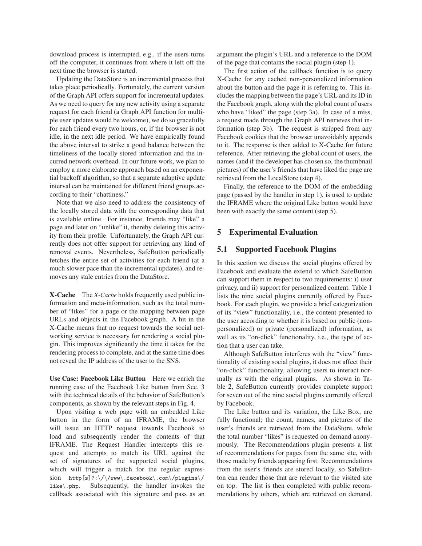download process is interrupted, e.g., if the users turns off the computer, it continues from where it left off the next time the browser is started.

Updating the DataStore is an incremental process that takes place periodically. Fortunately, the current version of the Graph API offers support for incremental updates. As we need to query for any new activity using a separate request for each friend (a Graph API function for multiple user updates would be welcome), we do so gracefully for each friend every two hours, or, if the browser is not idle, in the next idle period. We have empirically found the above interval to strike a good balance between the timeliness of the locally stored information and the incurred network overhead. In our future work, we plan to employ a more elaborate approach based on an exponential backoff algorithm, so that a separate adaptive update interval can be maintained for different friend groups according to their "chattiness."

Note that we also need to address the consistency of the locally stored data with the corresponding data that is available online. For instance, friends may "like" a page and later on "unlike" it, thereby deleting this activity from their profile. Unfortunately, the Graph API currently does not offer support for retrieving any kind of removal events. Nevertheless, SafeButton periodically fetches the entire set of activities for each friend (at a much slower pace than the incremental updates), and removes any stale entries from the DataStore.

**X-Cache** The *X-Cache* holds frequently used public information and meta-information, such as the total number of "likes" for a page or the mapping between page URLs and objects in the Facebook graph. A hit in the X-Cache means that no request towards the social networking service is necessary for rendering a social plugin. This improves significantly the time it takes for the rendering process to complete, and at the same time does not reveal the IP address of the user to the SNS.

**Use Case: Facebook Like Button** Here we enrich the running case of the Facebook Like button from Sec. [3](#page-3-0) with the technical details of the behavior of SafeButton's components, as shown by the relevant steps in Fig. [4.](#page-5-0)

Upon visiting a web page with an embedded Like button in the form of an IFRAME, the browser will issue an HTTP request towards Facebook to load and subsequently render the contents of that IFRAME. The Request Handler intercepts this request and attempts to match its URL against the set of signatures of the supported social plugins, which will trigger a match for the regular expression http[s]?:\/\/www\.facebook\.com\/plugins\/ like\.php. Subsequently, the handler invokes the callback associated with this signature and pass as an argument the plugin's URL and a reference to the DOM of the page that contains the social plugin (step 1).

The first action of the callback function is to query X-Cache for any cached non-personalized information about the button and the page it is referring to. This includes the mapping between the page's URL and its ID in the Facebook graph, along with the global count of users who have "liked" the page (step 3a). In case of a miss, a request made through the Graph API retrieves that information (step 3b). The request is stripped from any Facebook cookies that the browser unavoidably appends to it. The response is then added to X-Cache for future reference. After retrieving the global count of users, the names (and if the developer has chosen so, the thumbnail pictures) of the user's friends that have liked the page are retrieved from the LocalStore (step 4).

Finally, the reference to the DOM of the embedding page (passed by the handler in step 1), is used to update the IFRAME where the original Like button would have been with exactly the same content (step 5).

#### **5 Experimental Evaluation**

#### **5.1 Supported Facebook Plugins**

In this section we discuss the social plugins offered by Facebook and evaluate the extend to which SafeButton can support them in respect to two requirements: i) user privacy, and ii) support for personalized content. Table [1](#page-7-1) lists the nine social plugins currently offered by Facebook. For each plugin, we provide a brief categorization of its "view" functionality, i.e., the content presented to the user according to whether it is based on public (nonpersonalized) or private (personalized) information, as well as its "on-click" functionality, i.e., the type of action that a user can take.

Although SafeButton interferes with the "view" functionality of existing social plugins, it does not affect their "on-click" functionality, allowing users to interact normally as with the original plugins. As shown in Table [2,](#page-7-2) SafeButton currently provides complete support for seven out of the nine social plugins currently offered by Facebook.

The Like button and its variation, the Like Box, are fully functional; the count, names, and pictures of the user's friends are retrieved from the DataStore, while the total number "likes" is requested on demand anonymously. The Recommendations plugin presents a list of recommendations for pages from the same site, with those made by friends appearing first. Recommendations from the user's friends are stored locally, so SafeButton can render those that are relevant to the visited site on top. The list is then completed with public recommendations by others, which are retrieved on demand.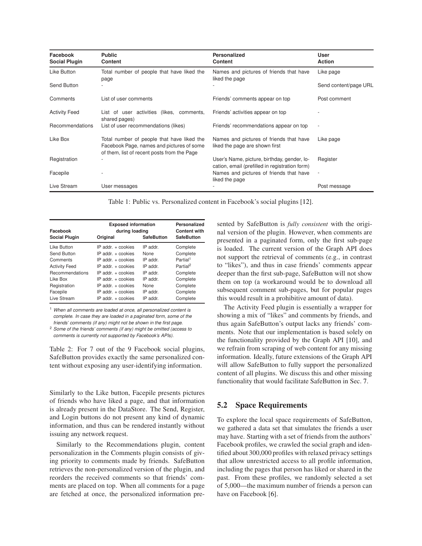| Facebook<br><b>Social Plugin</b> | <b>Public</b><br>Content                                                                                                               | <b>Personalized</b><br><b>Content</b>                                                         | <b>User</b><br><b>Action</b> |
|----------------------------------|----------------------------------------------------------------------------------------------------------------------------------------|-----------------------------------------------------------------------------------------------|------------------------------|
| Like Button                      | Total number of people that have liked the<br>page                                                                                     | Names and pictures of friends that have<br>liked the page                                     | Like page                    |
| Send Button                      |                                                                                                                                        |                                                                                               | Send content/page URL        |
| Comments                         | List of user comments                                                                                                                  | Friends' comments appear on top                                                               | Post comment                 |
| <b>Activity Feed</b>             | List of user activities (likes, comments,<br>shared pages)                                                                             | Friends' activities appear on top                                                             |                              |
| Recommendations                  | List of user recommendations (likes)                                                                                                   | Friends' recommendations appear on top                                                        | $\overline{\phantom{a}}$     |
| Like Box                         | Total number of people that have liked the<br>Facebook Page, names and pictures of some<br>of them, list of recent posts from the Page | Names and pictures of friends that have<br>liked the page are shown first                     | Like page                    |
| Registration                     |                                                                                                                                        | User's Name, picture, birthday, gender, lo-<br>cation, email (prefilled in registration form) | Register                     |
| Facepile                         |                                                                                                                                        | Names and pictures of friends that have<br>liked the page                                     | $\overline{\phantom{a}}$     |
| Live Stream                      | User messages                                                                                                                          |                                                                                               | Post message                 |

<span id="page-7-1"></span>Table 1: Public vs. Personalized content in Facebook's social plugins [\[12\]](#page-14-0).

| Facebook             | <b>Exposed information</b><br>during loading |                   | Personalized<br><b>Content with</b> |
|----------------------|----------------------------------------------|-------------------|-------------------------------------|
| <b>Social Plugin</b> | Original                                     | <b>SafeButton</b> | <b>SafeButton</b>                   |
| Like Button          | $IP$ addr. $+$ cookies                       | IP addr.          | Complete                            |
| Send Button          | $IP$ addr. $+$ cookies                       | None              | Complete                            |
| Comments             | $IP$ addr. $+$ cookies                       | IP addr.          | Partial <sup>1</sup>                |
| <b>Activity Feed</b> | $IP$ addr. $+$ cookies                       | IP addr.          | Partial <sup>2</sup>                |
| Recommendations      | $IP$ addr. $+$ cookies                       | IP addr           | Complete                            |
| Like Box             | $IP$ addr. $+$ cookies                       | IP addr.          | Complete                            |
| Registration         | $IP$ addr. $+$ cookies                       | None              | Complete                            |
| Facepile             | $IP$ addr. $+$ cookies                       | IP addr.          | Complete                            |
| Live Stream          | $IP$ addr. $+$ cookies                       | IP addr.          | Complete                            |

<sup>1</sup> When all comments are loaded at once, all personalized content is complete. In case they are loaded in a paginated form, some of the friends' comments (if any) might not be shown in the first page.

<sup>2</sup> Some of the friends' comments (if any) might be omitted (access to comments is currently not supported by Facebook's APIs).

<span id="page-7-2"></span>Table 2: For 7 out of the 9 Facebook social plugins, SafeButton provides exactly the same personalized content without exposing any user-identifying information.

Similarly to the Like button, Facepile presents pictures of friends who have liked a page, and that information is already present in the DataStore. The Send, Register, and Login buttons do not present any kind of dynamic information, and thus can be rendered instantly without issuing any network request.

Similarly to the Recommendations plugin, content personalization in the Comments plugin consists of giving priority to comments made by friends. SafeButton retrieves the non-personalized version of the plugin, and reorders the received comments so that friends' comments are placed on top. When all comments for a page are fetched at once, the personalized information presented by SafeButton is *fully consistent* with the original version of the plugin. However, when comments are presented in a paginated form, only the first sub-page is loaded. The current version of the Graph API does not support the retrieval of comments (e.g., in contrast to "likes"), and thus in case friends' comments appear deeper than the first sub-page, SafeButton will not show them on top (a workaround would be to download all subsequent comment sub-pages, but for popular pages this would result in a prohibitive amount of data).

The Activity Feed plugin is essentially a wrapper for showing a mix of "likes" and comments by friends, and thus again SafeButton's output lacks any friends' comments. Note that our implementation is based solely on the functionality provided by the Graph API [\[10\]](#page-14-13), and we refrain from scraping of web content for any missing information. Ideally, future extensions of the Graph API will allow SafeButton to fully support the personalized content of all plugins. We discuss this and other missing functionality that would facilitate SafeButton in Sec. [7.](#page-12-0)

## <span id="page-7-0"></span>**5.2 Space Requirements**

To explore the local space requirements of SafeButton, we gathered a data set that simulates the friends a user may have. Starting with a set of friends from the authors' Facebook profiles, we crawled the social graph and identified about 300,000 profiles with relaxed privacy settings that allow unrestricted access to all profile information, including the pages that person has liked or shared in the past. From these profiles, we randomly selected a set of 5,000—the maximum number of friends a person can have on Facebook [\[6\]](#page-14-14).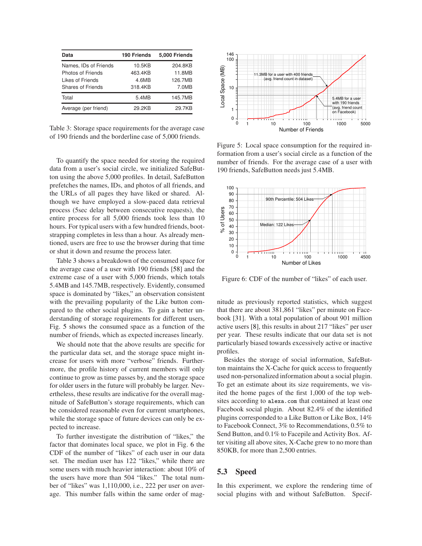| Data                                                                                | 190 Friends                           | 5,000 Friends                         |
|-------------------------------------------------------------------------------------|---------------------------------------|---------------------------------------|
| Names, IDs of Friends<br>Photos of Friends<br>Likes of Friends<br>Shares of Friends | 10.5KB<br>463.4KB<br>4.6MB<br>318.4KB | 204.8KB<br>11.8MB<br>126.7MB<br>7.0MB |
| Total                                                                               | 5.4MB                                 | 145.7MB                               |
| Average (per friend)                                                                | 29.2KB                                | 29.7KB                                |

<span id="page-8-0"></span>Table 3: Storage space requirements for the average case of 190 friends and the borderline case of 5,000 friends.

To quantify the space needed for storing the required data from a user's social circle, we initialized SafeButton using the above 5,000 profiles. In detail, SafeButton prefetches the names, IDs, and photos of all friends, and the URLs of all pages they have liked or shared. Although we have employed a slow-paced data retrieval process (5sec delay between consecutive requests), the entire process for all 5,000 friends took less than 10 hours. For typical users with a few hundred friends, bootstrapping completes in less than a hour. As already mentioned, users are free to use the browser during that time or shut it down and resume the process later.

Table [3](#page-8-0) shows a breakdown of the consumed space for the average case of a user with 190 friends [\[58\]](#page-15-17) and the extreme case of a user with 5,000 friends, which totals 5.4MB and 145.7MB, respectively. Evidently, consumed space is dominated by "likes," an observation consistent with the prevailing popularity of the Like button compared to the other social plugins. To gain a better understanding of storage requirements for different users, Fig. [5](#page-8-1) shows the consumed space as a function of the number of friends, which as expected increases linearly.

We should note that the above results are specific for the particular data set, and the storage space might increase for users with more "verbose" friends. Furthermore, the profile history of current members will only continue to grow as time passes by, and the storage space for older users in the future will probably be larger. Nevertheless, these results are indicative for the overall magnitude of SafeButton's storage requirements, which can be considered reasonable even for current smartphones, while the storage space of future devices can only be expected to increase.

To further investigate the distribution of "likes," the factor that dominates local space, we plot in Fig. [6](#page-8-2) the CDF of the number of "likes" of each user in our data set. The median user has 122 "likes," while there are some users with much heavier interaction: about 10% of the users have more than 504 "likes." The total number of "likes" was 1,110,000, i.e., 222 per user on average. This number falls within the same order of mag-



<span id="page-8-1"></span>Figure 5: Local space consumption for the required information from a user's social circle as a function of the number of friends. For the average case of a user with 190 friends, SafeButton needs just 5.4MB.



<span id="page-8-2"></span>Figure 6: CDF of the number of "likes" of each user.

nitude as previously reported statistics, which suggest that there are about 381,861 "likes" per minute on Facebook [\[31\]](#page-15-18). With a total population of about 901 million active users [\[8\]](#page-14-6), this results in about 217 "likes" per user per year. These results indicate that our data set is not particularly biased towards excessively active or inactive profiles.

Besides the storage of social information, SafeButton maintains the X-Cache for quick access to frequently used non-personalized information about a social plugin. To get an estimate about its size requirements, we visited the home pages of the first 1,000 of the top websites according to <alexa.com> that contained at least one Facebook social plugin. About 82.4% of the identified plugins corresponded to a Like Button or Like Box, 14% to Facebook Connect, 3% to Recommendations, 0.5% to Send Button, and 0.1% to Facepile and Activity Box. After visiting all above sites, X-Cache grew to no more than 850KB, for more than 2,500 entries.

## **5.3 Speed**

In this experiment, we explore the rendering time of social plugins with and without SafeButton. Specif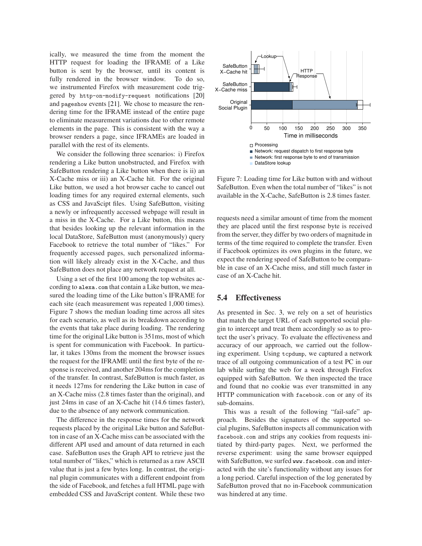ically, we measured the time from the moment the HTTP request for loading the IFRAME of a Like button is sent by the browser, until its content is fully rendered in the browser window. To do so, we instrumented Firefox with measurement code triggered by http-on-modify-request notifications [\[20\]](#page-14-15) and pageshow events [\[21\]](#page-14-16). We chose to measure the rendering time for the IFRAME instead of the entire page to eliminate measurement variations due to other remote elements in the page. This is consistent with the way a browser renders a page, since IFRAMEs are loaded in parallel with the rest of its elements.

We consider the following three scenarios: i) Firefox rendering a Like button unobstructed, and Firefox with SafeButton rendering a Like button when there is ii) an X-Cache miss or iii) an X-Cache hit. For the original Like button, we used a hot browser cache to cancel out loading times for any required external elements, such as CSS and JavaScipt files. Using SafeButton, visiting a newly or infrequently accessed webpage will result in a miss in the X-Cache. For a Like button, this means that besides looking up the relevant information in the local DataStore, SafeButton must (anonymously) query Facebook to retrieve the total number of "likes." For frequently accessed pages, such personalized information will likely already exist in the X-Cache, and thus SafeButton does not place any network request at all.

Using a set of the first 100 among the top websites according to <alexa.com> that contain a Like button, we measured the loading time of the Like button's IFRAME for each site (each measurement was repeated 1,000 times). Figure [7](#page-9-0) shows the median loading time across all sites for each scenario, as well as its breakdown according to the events that take place during loading. The rendering time for the original Like button is 351ms, most of which is spent for communication with Facebook. In particular, it takes 130ms from the moment the browser issues the request for the IFRAME until the first byte of the response is received, and another 204ms for the completion of the transfer. In contrast, SafeButton is much faster, as it needs 127ms for rendering the Like button in case of an X-Cache miss (2.8 times faster than the original), and just 24ms in case of an X-Cache hit (14.6 times faster), due to the absence of any network communication.

The difference in the response times for the network requests placed by the original Like button and SafeButton in case of an X-Cache miss can be associated with the different API used and amount of data returned in each case. SafeButton uses the Graph API to retrieve just the total number of "likes," which is returned as a raw ASCII value that is just a few bytes long. In contrast, the original plugin communicates with a different endpoint from the side of Facebook, and fetches a full HTML page with embedded CSS and JavaScript content. While these two



<span id="page-9-0"></span>Figure 7: Loading time for Like button with and without SafeButton. Even when the total number of "likes" is not available in the X-Cache, SafeButton is 2.8 times faster.

requests need a similar amount of time from the moment they are placed until the first response byte is received from the server, they differ by two orders of magnitude in terms of the time required to complete the transfer. Even if Facebook optimizes its own plugins in the future, we expect the rendering speed of SafeButton to be comparable in case of an X-Cache miss, and still much faster in case of an X-Cache hit.

## **5.4 Effectiveness**

As presented in Sec. [3,](#page-3-0) we rely on a set of heuristics that match the target URL of each supported social plugin to intercept and treat them accordingly so as to protect the user's privacy. To evaluate the effectiveness and accuracy of our approach, we carried out the following experiment. Using tcpdump, we captured a network trace of all outgoing communication of a test PC in our lab while surfing the web for a week through Firefox equipped with SafeButton. We then inspected the trace and found that no cookie was ever transmitted in any HTTP communication with facebook.com or any of its sub-domains.

This was a result of the following "fail-safe" approach. Besides the signatures of the supported social plugins, SafeButton inspects all communication with facebook.com and strips any cookies from requests initiated by third-party pages. Next, we performed the reverse experiment: using the same browser equipped with SafeButton, we surfed <www.facebook.com> and interacted with the site's functionality without any issues for a long period. Careful inspection of the log generated by SafeButton proved that no in-Facebook communication was hindered at any time.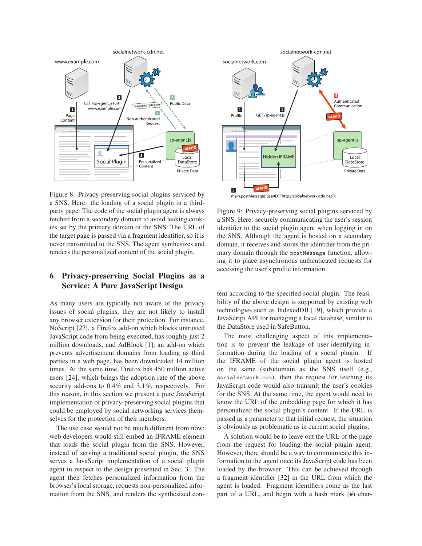

<span id="page-10-0"></span>Figure 8: Privacy-preserving social plugins serviced by a SNS. Here: the loading of a social plugin in a thirdparty page. The code of the social plugin agent is always fetched from a secondary domain to avoid leaking cookies set by the primary domain of the SNS. The URL of the target page is passed via a fragment identifier, so it is never transmitted to the SNS. The agent synthesizes and renders the personalized content of the social plugin.

## <span id="page-10-2"></span>**6 Privacy-preserving Social Plugins as a Service: A Pure JavaScript Design**

As many users are typically not aware of the privacy issues of social plugins, they are not likely to install any browser extension for their protection. For instance, NoScript [\[27\]](#page-15-5), a Firefox add-on which blocks untrusted JavaScript code from being executed, has roughly just 2 million downloads, and AdBlock [\[1\]](#page-14-17), an add-on which prevents advertisement domains from loading as third parties in a web page, has been downloaded 14 million times. At the same time, Firefox has 450 million active users [\[24\]](#page-14-18), which brings the adoption rate of the above security add-ons to 0.4% and 3.1%, respectively. For this reason, in this section we present a pure JavaScript implementation of privacy-preserving social plugins that could be employed by social networking services themselves for the protection of their members.

The use case would not be much different from now: web developers would still embed an IFRAME element that loads the social plugin from the SNS. However, instead of serving a traditional social plugin, the SNS serves a JavaScript implementation of a social plugin agent in respect to the design presented in Sec. [3.](#page-3-0) The agent then fetches personalized information from the browser's local storage, requests non-personalized information from the SNS, and renders the synthesized con-



<span id="page-10-1"></span>Figure 9: Privacy-preserving social plugins serviced by a SNS. Here: securely communicating the user's session identifier to the social plugin agent when logging in on the SNS. Although the agent is hosted on a secondary domain, it receives and stores the identifier from the primary domain through the postMessage function, allowing it to place asynchronous authenticated requests for accessing the user's profile information.

tent according to the specified social plugin. The feasibility of the above design is supported by existing web technologies such as IndexedDB [\[19\]](#page-14-19), which provide a JavaScript API for managing a local database, similar to the DataStore used in SafeButton.

The most challenging aspect of this implementation is to prevent the leakage of user-identifying information during the loading of a social plugin. If the IFRAME of the social plugin agent is hosted on the same (sub)domain as the SNS itself (e.g., socialnetwork.com), then the request for fetching its JavaScript code would also transmit the user's cookies for the SNS. At the same time, the agent would need to know the URL of the embedding page for which it has personalized the social plugin's content. If the URL is passed as a parameter to that initial request, the situation is obviously as problematic as in current social plugins.

A solution would be to leave out the URL of the page from the request for loading the social plugin agent. However, there should be a way to communicate this information to the agent once its JavaScript code has been loaded by the browser. This can be achieved through a fragment identifier [\[32\]](#page-15-19) in the URL from which the agent is loaded. Fragment identifiers come as the last part of a URL, and begin with a hash mark (#) char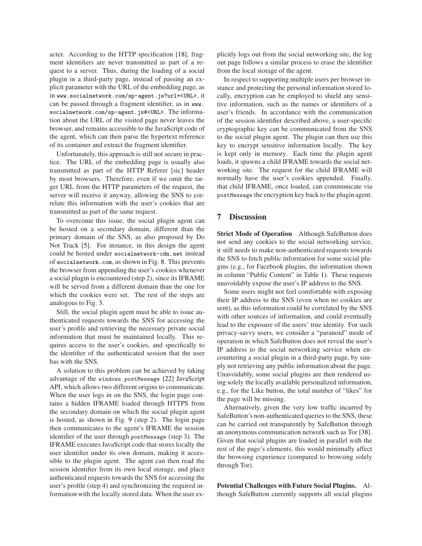acter. According to the HTTP specification [\[18\]](#page-14-20), fragment identifiers are never transmitted as part of a request to a server. Thus, during the loading of a social plugin in a third-party page, instead of passing an explicit parameter with the URL of the embedding page, as in <www.socialnetwork.com/sp-agent.js?url=<URL>>, it can be passed through a fragment identifier, as in [www.](www.socialnetwork.com/sp-agent.js) [socialnetwork.com/sp-agent.js#](www.socialnetwork.com/sp-agent.js)<<URL>>. The information about the URL of the visited page never leaves the browser, and remains accessible to the JavaScript code of the agent, which can then parse the hypertext reference of its container and extract the fragment identifier.

Unfortunately, this approach is still not secure in practice. The URL of the embedding page is usually also transmitted as part of the HTTP Referer [sic] header by most browsers. Therefore, even if we omit the target URL from the HTTP parameters of the request, the server will receive it anyway, allowing the SNS to correlate this information with the user's cookies that are transmitted as part of the same request.

To overcome this issue, the social plugin agent can be hosted on a secondary domain, different than the primary domain of the SNS, as also proposed by Do Not Track [\[5\]](#page-14-11). For instance, in this design the agent could be hosted under <socialnetwork-cdn.net> instead of <socialnetwork.com>, as shown in Fig. [8.](#page-10-0) This prevents the browser from appending the user's cookies whenever a social plugin is encountered (step 2), since its IFRAME will be served from a different domain than the one for which the cookies were set. The rest of the steps are analogous to Fig. [3.](#page-4-0)

Still, the social plugin agent must be able to issue authenticated requests towards the SNS for accessing the user's profile and retrieving the necessary private social information that must be maintained locally. This requires access to the user's cookies, and specifically to the identifier of the authenticated session that the user has with the SNS.

A solution to this problem can be achieved by taking advantage of the windows.postMessage [\[22\]](#page-14-21) JavaScript API, which allows two different origins to communicate. When the user logs in on the SNS, the login page contains a hidden IFRAME loaded through HTTPS from the secondary domain on which the social plugin agent is hosted, as shown in Fig. [9](#page-10-1) (step 2). The login page then communicates to the agent's IFRAME the session identifier of the user through postMessage (step 3). The IFRAME executes JavaScript code that stores locally the user identifier under its own domain, making it accessible to the plugin agent. The agent can then read the session identifier from its own local storage, and place authenticated requests towards the SNS for accessing the user's profile (step 4) and synchronizing the required information with the locally stored data. When the user explicitly logs out from the social networking site, the log out page follows a similar process to erase the identifier from the local storage of the agent.

In respect to supporting multiple users per browser instance and protecting the personal information stored locally, encryption can be employed to shield any sensitive information, such as the names or identifiers of a user's friends. In accordance with the communication of the session identifier described above, a user-specific cryptographic key can be communicated from the SNS to the social plugin agent. The plugin can then use this key to encrypt sensitive information locally. The key is kept only in memory. Each time the plugin agent loads, it spawns a child IFRAME towards the social networking site. The request for the child IFRAME will normally have the user's cookies appended. Finally, that child IFRAME, once loaded, can communicate via postMessage the encryption key back to the plugin agent.

## **7 Discussion**

**Strict Mode of Operation** Although SafeButton does not send any cookies to the social networking service, it still needs to make non-authenticated requests towards the SNS to fetch public information for some social plugins (e.g., for Facebook plugins, the information shown in column "Public Content" in Table [1\)](#page-7-1). These requests unavoidably expose the user's IP address to the SNS.

Some users might not feel comfortable with exposing their IP address to the SNS (even when no cookies are sent), as this information could be correlated by the SNS with other sources of information, and could eventually lead to the exposure of the users' true identity. For such privacy-savvy users, we consider a "paranoid" mode of operation in which SafeButton does not reveal the user's IP address to the social networking service when encountering a social plugin in a third-party page, by simply not retrieving any public information about the page. Unavoidably, some social plugins are then rendered using solely the locally available personalized information, e.g., for the Like button, the total number of "likes" for the page will be missing.

Alternatively, given the very low traffic incurred by SafeButton's non-authenticated queries to the SNS, these can be carried out transparently by SafeButton through an anonymous communication network such as Tor [\[38\]](#page-15-15). Given that social plugins are loaded in parallel with the rest of the page's elements, this would minimally affect the browsing experience (compared to browsing solely through Tor).

**Potential Challenges with Future Social Plugins.** Although SafeButton currently supports all social plugins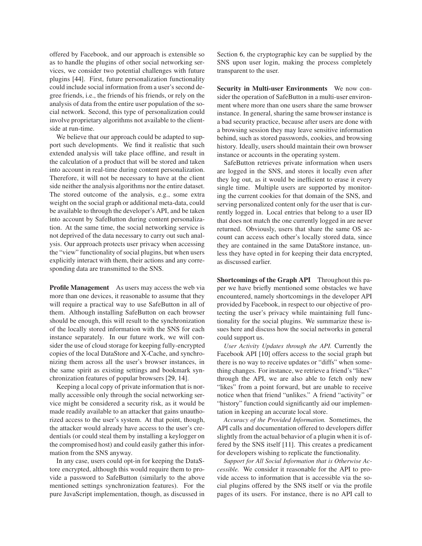offered by Facebook, and our approach is extensible so as to handle the plugins of other social networking services, we consider two potential challenges with future plugins [\[44\]](#page-15-20). First, future personalization functionality could include social information from a user's second degree friends, i.e., the friends of his friends, or rely on the analysis of data from the entire user population of the social network. Second, this type of personalization could involve proprietary algorithms not available to the clientside at run-time.

We believe that our approach could be adapted to support such developments. We find it realistic that such extended analysis will take place offline, and result in the calculation of a product that will be stored and taken into account in real-time during content personalization. Therefore, it will not be necessary to have at the client side neither the analysis algorithms nor the entire dataset. The stored outcome of the analysis, e.g., some extra weight on the social graph or additional meta-data, could be available to through the developer's API, and be taken into account by SafeButton during content personalization. At the same time, the social networking service is not deprived of the data necessary to carry out such analysis. Our approach protects user privacy when accessing the "view" functionality of social plugins, but when users explicitly interact with them, their actions and any corresponding data are transmitted to the SNS.

**Profile Management** As users may access the web via more than one devices, it reasonable to assume that they will require a practical way to use SafeButton in all of them. Although installing SafeButton on each browser should be enough, this will result to the synchronization of the locally stored information with the SNS for each instance separately. In our future work, we will consider the use of cloud storage for keeping fully-encrypted copies of the local DataStore and X-Cache, and synchronizing them across all the user's browser instances, in the same spirit as existing settings and bookmark synchronization features of popular browsers [\[29,](#page-15-21) [14\]](#page-14-22).

Keeping a local copy of private information that is normally accessible only through the social networking service might be considered a security risk, as it would be made readily available to an attacker that gains unauthorized access to the user's system. At that point, though, the attacker would already have access to the user's credentials (or could steal them by installing a keylogger on the compromised host) and could easily gather this information from the SNS anyway.

In any case, users could opt-in for keeping the DataStore encrypted, although this would require them to provide a password to SafeButton (similarly to the above mentioned settings synchronization features). For the pure JavaScript implementation, though, as discussed in Section [6,](#page-10-2) the cryptographic key can be supplied by the SNS upon user login, making the process completely transparent to the user.

**Security in Multi-user Environments** We now consider the operation of SafeButton in a multi-user environment where more than one users share the same browser instance. In general, sharing the same browser instance is a bad security practice, because after users are done with a browsing session they may leave sensitive information behind, such as stored passwords, cookies, and browsing history. Ideally, users should maintain their own browser instance or accounts in the operating system.

SafeButton retrieves private information when users are logged in the SNS, and stores it locally even after they log out, as it would be inefficient to erase it every single time. Multiple users are supported by monitoring the current cookies for that domain of the SNS, and serving personalized content only for the user that is currently logged in. Local entries that belong to a user ID that does not match the one currently logged in are never returned. Obviously, users that share the same OS account can access each other's locally stored data, since they are contained in the same DataStore instance, unless they have opted in for keeping their data encrypted, as discussed earlier.

<span id="page-12-0"></span>**Shortcomings of the Graph API** Throughout this paper we have briefly mentioned some obstacles we have encountered, namely shortcomings in the developer API provided by Facebook, in respect to our objective of protecting the user's privacy while maintaining full functionality for the social plugins. We summarize these issues here and discuss how the social networks in general could support us.

*User Activity Updates through the API.* Currently the Facebook API [\[10\]](#page-14-13) offers access to the social graph but there is no way to receive updates or "diffs" when something changes. For instance, we retrieve a friend's "likes" through the API, we are also able to fetch only new "likes" from a point forward, but are unable to receive notice when that friend "unlikes." A friend "activity" or "history" function could significantly aid our implementation in keeping an accurate local store.

*Accuracy of the Provided Information.* Sometimes, the API calls and documentation offered to developers differ slightly from the actual behavior of a plugin when it is offered by the SNS itself [\[11\]](#page-14-23). This creates a predicament for developers wishing to replicate the functionality.

*Support for All Social Information that is Otherwise Accessible.* We consider it reasonable for the API to provide access to information that is accessible via the social plugins offered by the SNS itself or via the profile pages of its users. For instance, there is no API call to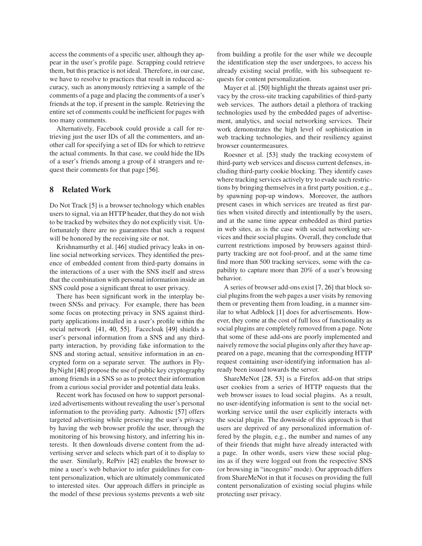access the comments of a specific user, although they appear in the user's profile page. Scrapping could retrieve them, but this practice is not ideal. Therefore, in our case, we have to resolve to practices that result in reduced accuracy, such as anonymously retrieving a sample of the comments of a page and placing the comments of a user's friends at the top, if present in the sample. Retrieving the entire set of comments could be inefficient for pages with too many comments.

Alternatively, Facebook could provide a call for retrieving just the user IDs of all the commenters, and another call for specifying a set of IDs for which to retrieve the actual comments. In that case, we could hide the IDs of a user's friends among a group of *k* strangers and request their comments for that page [\[56\]](#page-15-22).

#### **8 Related Work**

Do Not Track [\[5\]](#page-14-11) is a browser technology which enables users to signal, via an HTTP header, that they do not wish to be tracked by websites they do not explicitly visit. Unfortunately there are no guarantees that such a request will be honored by the receiving site or not.

Krishnamurthy et al. [\[46\]](#page-15-23) studied privacy leaks in online social networking services. They identified the presence of embedded content from third-party domains in the interactions of a user with the SNS itself and stress that the combination with personal information inside an SNS could pose a significant threat to user privacy.

There has been significant work in the interplay between SNSs and privacy. For example, there has been some focus on protecting privacy in SNS against thirdparty applications installed in a user's profile within the social network [\[41,](#page-15-24) [40,](#page-15-25) [55\]](#page-15-26). Facecloak [\[49\]](#page-15-27) shields a user's personal information from a SNS and any thirdparty interaction, by providing fake information to the SNS and storing actual, sensitive information in an encrypted form on a separate server. The authors in Fly-ByNight [\[48\]](#page-15-28) propose the use of public key cryptography among friends in a SNS so as to protect their information from a curious social provider and potential data leaks.

Recent work has focused on how to support personalized advertisements without revealing the user's personal information to the providing party. Adnostic [\[57\]](#page-15-29) offers targeted advertising while preserving the user's privacy by having the web browser profile the user, through the monitoring of his browsing history, and inferring his interests. It then downloads diverse content from the advertising server and selects which part of it to display to the user. Similarly, RePriv [\[42\]](#page-15-30) enables the browser to mine a user's web behavior to infer guidelines for content personalization, which are ultimately communicated to interested sites. Our approach differs in principle as the model of these previous systems prevents a web site from building a profile for the user while we decouple the identification step the user undergoes, to access his already existing social profile, with his subsequent requests for content personalization.

Mayer et al. [\[50\]](#page-15-31) highlight the threats against user privacy by the cross-site tracking capabilities of third-party web services. The authors detail a plethora of tracking technologies used by the embedded pages of advertisement, analytics, and social networking services. Their work demonstrates the high level of sophistication in web tracking technologies, and their resiliency against browser countermeasures.

Roesner et al. [\[53\]](#page-15-13) study the tracking ecosystem of third-party web services and discuss current defenses, including third-party cookie blocking. They identify cases where tracking services actively try to evade such restrictions by bringing themselves in a first party position, e.g., by spawning pop-up windows. Moreover, the authors present cases in which services are treated as first parties when visited directly and intentionally by the users, and at the same time appear embedded as third parties in web sites, as is the case with social networking services and their social plugins. Overall, they conclude that current restrictions imposed by browsers against thirdparty tracking are not fool-proof, and at the same time find more than 500 tracking services, some with the capability to capture more than 20% of a user's browsing behavior.

A series of browser add-ons exist [\[7,](#page-14-3) [26\]](#page-15-32) that block social plugins from the web pages a user visits by removing them or preventing them from loading, in a manner similar to what Adblock [\[1\]](#page-14-17) does for advertisements. However, they come at the cost of full loss of functionality as social plugins are completely removed from a page. Note that some of these add-ons are poorly implemented and naively remove the social plugins only after they have appeared on a page, meaning that the corresponding HTTP request containing user-identifying information has already been issued towards the server.

ShareMeNot [\[28,](#page-15-6) [53\]](#page-15-13) is a Firefox add-on that strips user cookies from a series of HTTP requests that the web browser issues to load social plugins. As a result, no user-identifying information is sent to the social networking service until the user explicitly interacts with the social plugin. The downside of this approach is that users are deprived of any personalized information offered by the plugin, e.g., the number and names of any of their friends that might have already interacted with a page. In other words, users view these social plugins as if they were logged out from the respective SNS (or browsing in "incognito" mode). Our approach differs from ShareMeNot in that it focuses on providing the full content personalization of existing social plugins while protecting user privacy.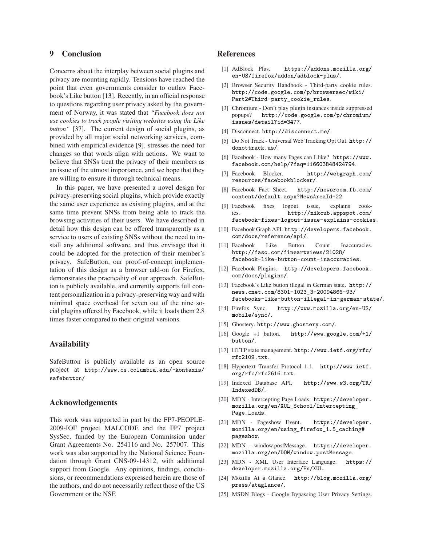## **9 Conclusion**

Concerns about the interplay between social plugins and privacy are mounting rapidly. Tensions have reached the point that even governments consider to outlaw Facebook's Like button [\[13\]](#page-14-24). Recently, in an official response to questions regarding user privacy asked by the government of Norway, it was stated that *"Facebook does not use cookies to track people visiting websites using the Like button"* [\[37\]](#page-15-4). The current design of social plugins, as provided by all major social networking services, combined with empirical evidence [\[9\]](#page-14-7), stresses the need for changes so that words align with actions. We want to believe that SNSs treat the privacy of their members as an issue of the utmost importance, and we hope that they are willing to ensure it through technical means.

In this paper, we have presented a novel design for privacy-preserving social plugins, which provide exactly the same user experience as existing plugins, and at the same time prevent SNSs from being able to track the browsing activities of their users. We have described in detail how this design can be offered transparently as a service to users of existing SNSs without the need to install any additional software, and thus envisage that it could be adopted for the protection of their member's privacy. SafeButton, our proof-of-concept implementation of this design as a browser add-on for Firefox, demonstrates the practicality of our approach. SafeButton is publicly available, and currently supports full content personalization in a privacy-preserving way and with minimal space overhead for seven out of the nine social plugins offered by Facebook, while it loads them 2.8 times faster compared to their original versions.

#### **Availability**

SafeButton is publicly available as an open source project at [http://www.cs.columbia.edu/~kontaxis/](http://www.cs.columbia.edu/~kontaxis/safebutton/) [safebutton/](http://www.cs.columbia.edu/~kontaxis/safebutton/)

#### **Acknowledgements**

This work was supported in part by the FP7-PEOPLE-2009-IOF project MALCODE and the FP7 project SysSec, funded by the European Commission under Grant Agreements No. 254116 and No. 257007. This work was also supported by the National Science Foundation through Grant CNS-09-14312, with additional support from Google. Any opinions, findings, conclusions, or recommendations expressed herein are those of the authors, and do not necessarily reflect those of the US Government or the NSF.

#### <span id="page-14-17"></span>**References**

- [1] AdBlock Plus. [https://addons.mozilla.org/](https://addons.mozilla.org/en-US/firefox/addon/adblock-plus/) [en-US/firefox/addon/adblock-plus/](https://addons.mozilla.org/en-US/firefox/addon/adblock-plus/).
- <span id="page-14-9"></span>[2] Browser Security Handbook - Third-party cookie rules. [http://code.google.com/p/browsersec/wiki/](http://code.google.com/p/browsersec/wiki/Part2#Third-party_cookie_rules) [Part2#Third-party\\_cookie\\_rules](http://code.google.com/p/browsersec/wiki/Part2#Third-party_cookie_rules).
- <span id="page-14-10"></span>[3] Chromium - Don't play plugin instances inside suppressed popups? [http://code.google.com/p/chromium/](http://code.google.com/p/chromium/issues/detail?id=3477) [issues/detail?id=3477](http://code.google.com/p/chromium/issues/detail?id=3477).
- <span id="page-14-11"></span><span id="page-14-4"></span>[4] Disconnect. <http://disconnect.me/>.
- [5] Do Not Track Universal Web Tracking Opt Out. [http://](http://donottrack.us/) [donottrack.us/](http://donottrack.us/).
- <span id="page-14-14"></span>[6] Facebook - How many Pages can I like? [https://www.](https://www.facebook.com/help/?faq=116603848424794) [facebook.com/help/?faq=116603848424794](https://www.facebook.com/help/?faq=116603848424794).
- <span id="page-14-3"></span>[7] Facebook Blocker. [http://webgraph.com/](http://webgraph.com/resources/facebookblocker/) [resources/facebookblocker/](http://webgraph.com/resources/facebookblocker/).
- <span id="page-14-6"></span>[8] Facebook Fact Sheet. [http://newsroom.fb.com/](http://newsroom.fb.com/content/default.aspx?NewsAreaId=22) [content/default.aspx?NewsAreaId=22](http://newsroom.fb.com/content/default.aspx?NewsAreaId=22).
- <span id="page-14-7"></span>[9] Facebook fixes logout issue, explains cookies. [http://nikcub.appspot.com/](http://nikcub.appspot.com/facebook-fixes-logout-issue-explains-cookies) [facebook-fixes-logout-issue-explains-cookies](http://nikcub.appspot.com/facebook-fixes-logout-issue-explains-cookies).
- <span id="page-14-13"></span>[10] Facebook Graph API. [http://developers.facebook.](http://developers.facebook.com/docs/reference/api/) [com/docs/reference/api/](http://developers.facebook.com/docs/reference/api/).
- <span id="page-14-23"></span>[11] Facebook Like Button Count Inaccuracies. [http://faso.com/fineartviews/21028/](http://faso.com/fineartviews/21028/facebook-like-button-count-inaccuracies) [facebook-like-button-count-inaccuracies](http://faso.com/fineartviews/21028/facebook-like-button-count-inaccuracies).
- <span id="page-14-0"></span>[12] Facebook Plugins. [http://developers.facebook.](http://developers.facebook.com/docs/plugins/) [com/docs/plugins/](http://developers.facebook.com/docs/plugins/).
- <span id="page-14-24"></span>[13] Facebook's Like button illegal in German state. [http://](http://news.cnet.com/8301-1023_3-20094866-93/facebooks-like-button-illegal-in-german-state/) [news.cnet.com/8301-1023\\_3-20094866-93/](http://news.cnet.com/8301-1023_3-20094866-93/facebooks-like-button-illegal-in-german-state/) [facebooks-like-button-illegal-in-german-state/](http://news.cnet.com/8301-1023_3-20094866-93/facebooks-like-button-illegal-in-german-state/).
- <span id="page-14-22"></span>[14] Firefox Sync. [http://www.mozilla.org/en-US/](http://www.mozilla.org/en-US/mobile/sync/) [mobile/sync/](http://www.mozilla.org/en-US/mobile/sync/).
- <span id="page-14-2"></span><span id="page-14-1"></span>[15] Ghostery. <http://www.ghostery.com/>.
- [16] Google +1 button. [http://www.google.com/+1/](http://www.google.com/+1/button/) [button/](http://www.google.com/+1/button/).
- <span id="page-14-5"></span>[17] HTTP state management. [http://www.ietf.org/rfc/](http://www.ietf.org/rfc/rfc2109.txt) [rfc2109.txt](http://www.ietf.org/rfc/rfc2109.txt).
- <span id="page-14-20"></span>[18] Hypertext Transfer Protocol 1.1. [http://www.ietf.](http://www.ietf.org/rfc/rfc2616.txt) [org/rfc/rfc2616.txt](http://www.ietf.org/rfc/rfc2616.txt).
- <span id="page-14-19"></span>[19] Indexed Database API. [http://www.w3.org/TR/](http://www.w3.org/TR/IndexedDB/) [IndexedDB/](http://www.w3.org/TR/IndexedDB/).
- <span id="page-14-15"></span>[20] MDN - Intercepting Page Loads. [https://developer.](https://developer.mozilla.org/en/XUL_School/Intercepting_Page_Loads) [mozilla.org/en/XUL\\_School/Intercepting\\_](https://developer.mozilla.org/en/XUL_School/Intercepting_Page_Loads) [Page\\_Loads](https://developer.mozilla.org/en/XUL_School/Intercepting_Page_Loads).
- <span id="page-14-16"></span>[21] MDN - Pageshow Event. [https://developer.](https://developer.mozilla.org/en/using_firefox_1.5_caching#pageshow) [mozilla.org/en/using\\_firefox\\_1.5\\_caching#](https://developer.mozilla.org/en/using_firefox_1.5_caching#pageshow) [pageshow](https://developer.mozilla.org/en/using_firefox_1.5_caching#pageshow).
- <span id="page-14-21"></span>[22] MDN - window.postMessage. [https://developer.](https://developer.mozilla.org/en/DOM/window.postMessage) [mozilla.org/en/DOM/window.postMessage](https://developer.mozilla.org/en/DOM/window.postMessage).
- <span id="page-14-12"></span>[23] MDN - XML User Interface Language. [https://](https://developer.mozilla.org/En/XUL) [developer.mozilla.org/En/XUL](https://developer.mozilla.org/En/XUL).
- <span id="page-14-18"></span>[24] Mozilla At a Glance. [http://blog.mozilla.org/](http://blog.mozilla.org/press/ataglance/) [press/ataglance/](http://blog.mozilla.org/press/ataglance/).
- <span id="page-14-8"></span>[25] MSDN Blogs - Google Bypassing User Privacy Settings.